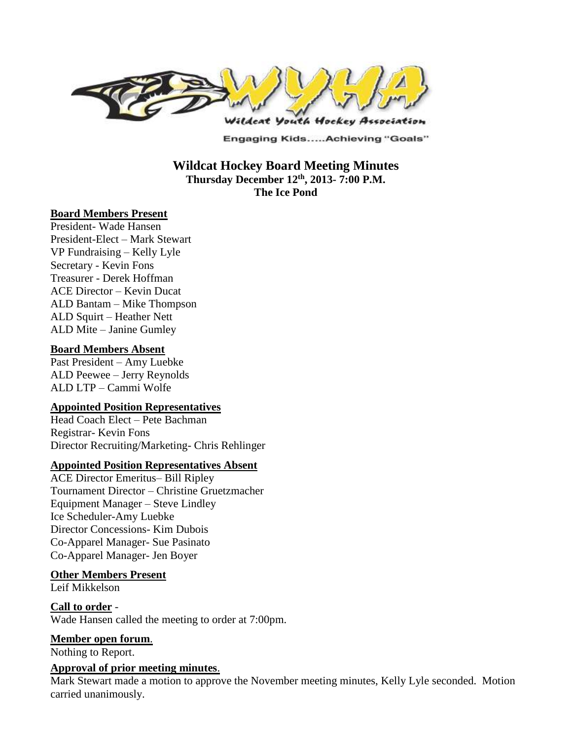

Engaging Kids.....Achieving "Goals"

### **Wildcat Hockey Board Meeting Minutes Thursday December 12 th , 2013- 7:00 P.M. The Ice Pond**

#### **Board Members Present**

President- Wade Hansen President-Elect – Mark Stewart VP Fundraising – Kelly Lyle Secretary - Kevin Fons Treasurer - Derek Hoffman ACE Director – Kevin Ducat ALD Bantam – Mike Thompson ALD Squirt – Heather Nett ALD Mite – Janine Gumley

#### **Board Members Absent**

Past President – Amy Luebke ALD Peewee – Jerry Reynolds ALD LTP – Cammi Wolfe

#### **Appointed Position Representatives**

Head Coach Elect – Pete Bachman Registrar- Kevin Fons Director Recruiting/Marketing- Chris Rehlinger

#### **Appointed Position Representatives Absent**

ACE Director Emeritus– Bill Ripley Tournament Director – Christine Gruetzmacher Equipment Manager – Steve Lindley Ice Scheduler-Amy Luebke Director Concessions- Kim Dubois Co-Apparel Manager- Sue Pasinato Co-Apparel Manager- Jen Boyer

#### **Other Members Present**

Leif Mikkelson

#### **Call to order** - Wade Hansen called the meeting to order at 7:00pm.

#### **Member open forum**.

Nothing to Report.

#### **Approval of prior meeting minutes**.

Mark Stewart made a motion to approve the November meeting minutes, Kelly Lyle seconded. Motion carried unanimously.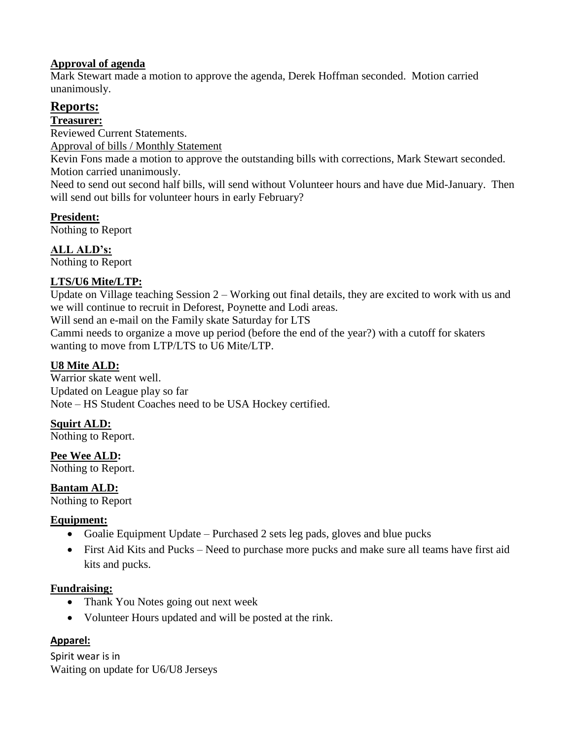### **Approval of agenda**

Mark Stewart made a motion to approve the agenda, Derek Hoffman seconded. Motion carried unanimously.

# **Reports:**

**Treasurer:** 

Reviewed Current Statements.

Approval of bills / Monthly Statement

Kevin Fons made a motion to approve the outstanding bills with corrections, Mark Stewart seconded. Motion carried unanimously.

Need to send out second half bills, will send without Volunteer hours and have due Mid-January. Then will send out bills for volunteer hours in early February?

**President:**  Nothing to Report

**ALL ALD's:** 

Nothing to Report

# **LTS/U6 Mite/LTP:**

Update on Village teaching Session 2 – Working out final details, they are excited to work with us and we will continue to recruit in Deforest, Poynette and Lodi areas.

Will send an e-mail on the Family skate Saturday for LTS

Cammi needs to organize a move up period (before the end of the year?) with a cutoff for skaters wanting to move from LTP/LTS to U6 Mite/LTP.

# **U8 Mite ALD:**

Warrior skate went well. Updated on League play so far Note – HS Student Coaches need to be USA Hockey certified.

# **Squirt ALD:**

Nothing to Report.

**Pee Wee ALD:**  Nothing to Report.

**Bantam ALD:** 

Nothing to Report

# **Equipment:**

- Goalie Equipment Update Purchased 2 sets leg pads, gloves and blue pucks
- First Aid Kits and Pucks Need to purchase more pucks and make sure all teams have first aid kits and pucks.

# **Fundraising:**

- Thank You Notes going out next week
- Volunteer Hours updated and will be posted at the rink.

# **Apparel:**

Spirit wear is in Waiting on update for U6/U8 Jerseys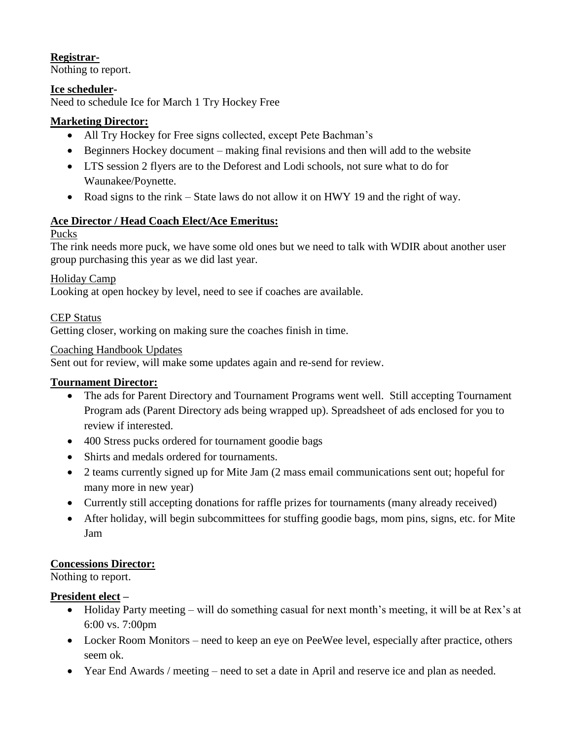### **Registrar-**

Nothing to report.

### **Ice scheduler-**

Need to schedule Ice for March 1 Try Hockey Free

### **Marketing Director:**

- All Try Hockey for Free signs collected, except Pete Bachman's
- Beginners Hockey document making final revisions and then will add to the website
- LTS session 2 flyers are to the Deforest and Lodi schools, not sure what to do for Waunakee/Poynette.
- Road signs to the rink State laws do not allow it on HWY 19 and the right of way.

### **Ace Director / Head Coach Elect/Ace Emeritus:**

### Pucks

The rink needs more puck, we have some old ones but we need to talk with WDIR about another user group purchasing this year as we did last year.

### Holiday Camp

Looking at open hockey by level, need to see if coaches are available.

CEP Status

Getting closer, working on making sure the coaches finish in time.

#### Coaching Handbook Updates

Sent out for review, will make some updates again and re-send for review.

# **Tournament Director:**

- The ads for Parent Directory and Tournament Programs went well. Still accepting Tournament Program ads (Parent Directory ads being wrapped up). Spreadsheet of ads enclosed for you to review if interested.
- 400 Stress pucks ordered for tournament goodie bags
- Shirts and medals ordered for tournaments.
- 2 teams currently signed up for Mite Jam (2 mass email communications sent out; hopeful for many more in new year)
- Currently still accepting donations for raffle prizes for tournaments (many already received)
- After holiday, will begin subcommittees for stuffing goodie bags, mom pins, signs, etc. for Mite Jam

# **Concessions Director:**

Nothing to report.

# **President elect –**

- Holiday Party meeting will do something casual for next month's meeting, it will be at Rex's at 6:00 vs. 7:00pm
- Locker Room Monitors need to keep an eye on PeeWee level, especially after practice, others seem ok.
- Year End Awards / meeting need to set a date in April and reserve ice and plan as needed.